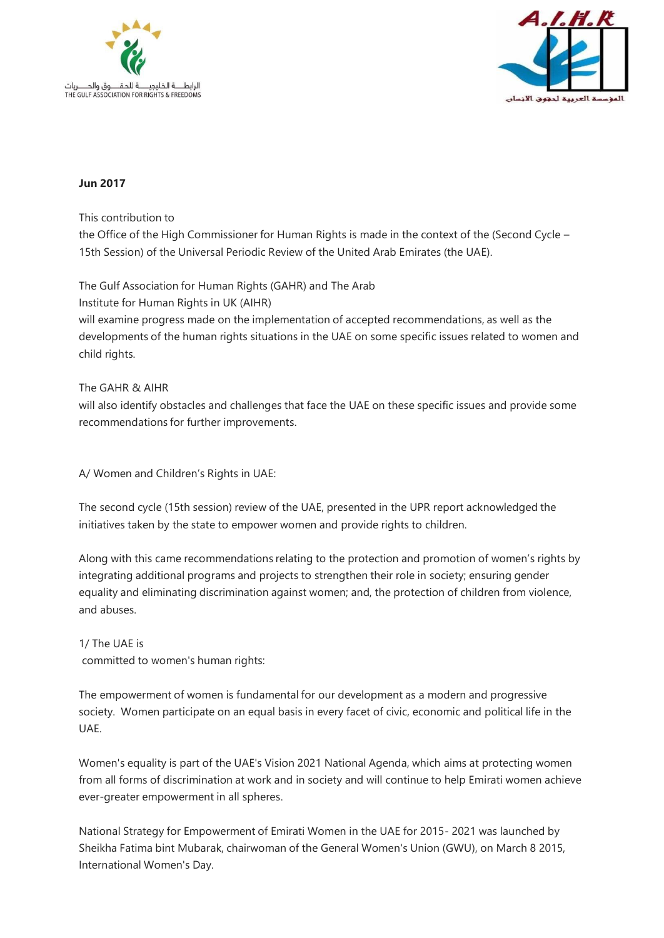



## **Jun 2017**

This contribution to

the Office of the High Commissioner for Human Rights is made in the context of the (Second Cycle – 15th Session) of the Universal Periodic Review of the United Arab Emirates (the UAE).

The Gulf Association for Human Rights (GAHR) and The Arab Institute for Human Rights in UK (AIHR) will examine progress made on the implementation of accepted recommendations, as well as the developments of the human rights situations in the UAE on some specific issues related to women and child rights.

## The GAHR & AIHR

will also identify obstacles and challenges that face the UAE on these specific issues and provide some recommendations for further improvements.

A/ Women and Children's Rights in UAE:

The second cycle (15th session) review of the UAE, presented in the UPR report acknowledged the initiatives taken by the state to empower women and provide rights to children.

Along with this came recommendations relating to the protection and promotion of women's rights by integrating additional programs and projects to strengthen their role in society; ensuring gender equality and eliminating discrimination against women; and, the protection of children from violence, and abuses.

1/ The UAE is committed to women's human rights:

The empowerment of women is fundamental for our development as a modern and progressive society. Women participate on an equal basis in every facet of civic, economic and political life in the UAE.

Women's equality is part of the UAE's Vision 2021 National Agenda, which aims at protecting women from all forms of discrimination at work and in society and will continue to help Emirati women achieve ever-greater empowerment in all spheres.

National Strategy for Empowerment of Emirati Women in the UAE for 2015- 2021 was launched by Sheikha Fatima bint Mubarak, chairwoman of the General Women's Union (GWU), on March 8 2015, International Women's Day.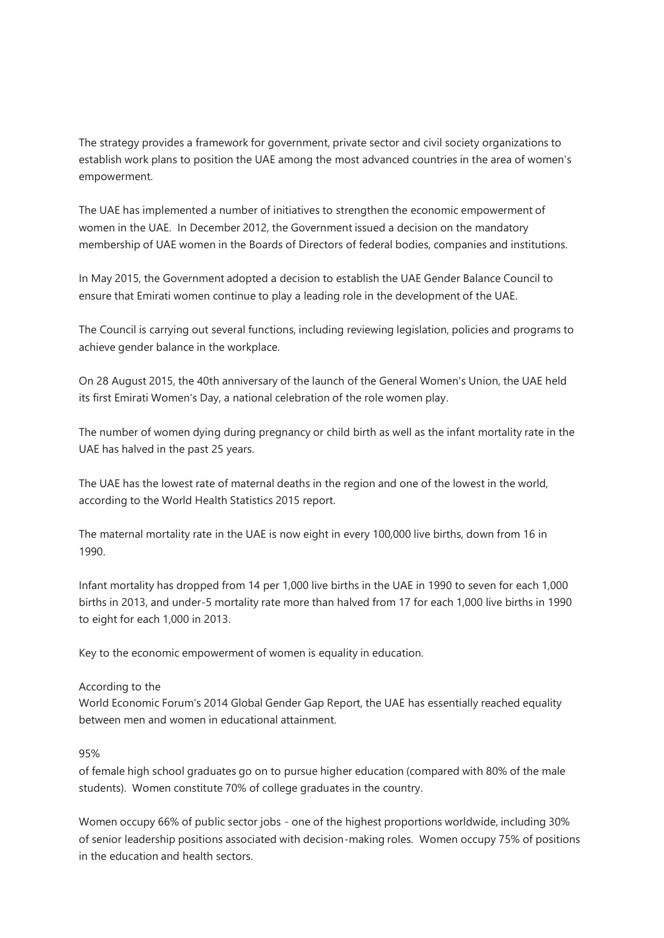The strategy provides a framework for government, private sector and civil society organizations to establish work plans to position the UAE among the most advanced countries in the area of women's empowerment.

The UAE has implemented a number of initiatives to strengthen the economic empowerment of women in the UAE. In December 2012, the Government issued a decision on the mandatory membership of UAE women in the Boards of Directors of federal bodies, companies and institutions.

In May 2015, the Government adopted a decision to establish the UAE Gender Balance Council to ensure that Emirati women continue to play a leading role in the development of the UAE.

The Council is carrying out several functions, including reviewing legislation, policies and programs to achieve gender balance in the workplace.

On 28 August 2015, the 40th anniversary of the launch of the General Women's Union, the UAE held its first Emirati Women's Day, a national celebration of the role women play.

The number of women dying during pregnancy or child birth as well as the infant mortality rate in the UAE has halved in the past 25 years.

The UAE has the lowest rate of maternal deaths in the region and one of the lowest in the world, according to the World Health Statistics 2015 report.

The maternal mortality rate in the UAE is now eight in every 100,000 live births, down from 16 in 1990.

Infant mortality has dropped from 14 per 1,000 live births in the UAE in 1990 to seven for each 1,000 births in 2013, and under-5 mortality rate more than halved from 17 for each 1,000 live births in 1990 to eight for each 1,000 in 2013.

Key to the economic empowerment of women is equality in education.

## According to the

World Economic Forum's 2014 Global Gender Gap Report, the UAE has essentially reached equality between men and women in educational attainment.

## 95%

of female high school graduates go on to pursue higher education (compared with 80% of the male students). Women constitute 70% of college graduates in the country.

Women occupy 66% of public sector jobs - one of the highest proportions worldwide, including 30% of senior leadership positions associated with decision-making roles. Women occupy 75% of positions in the education and health sectors.